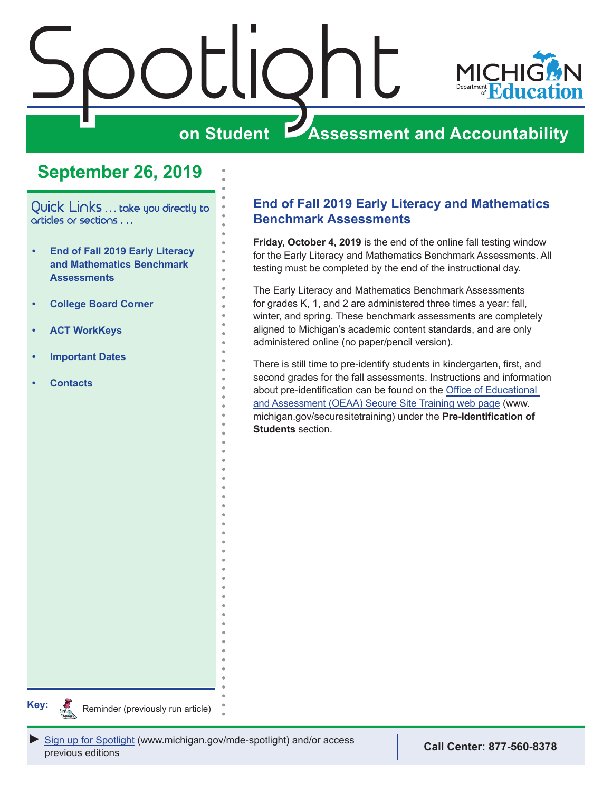<span id="page-0-0"></span>



## **on Student Assessment and Accountability**

## **September 26, 2019**

Quick Links . . . take you directly to articles or sections . . .

- **• End of Fall 2019 Early Literacy and Mathematics Benchmark Assessments**
- **• [College Board Corner](#page-1-0)**
- **• [ACT WorkKeys](#page-2-0)**
- **• [Important Dates](#page-3-0)**
- **• [Contacts](#page-5-0)**

## **End of Fall 2019 Early Literacy and Mathematics Benchmark Assessments**

**Friday, October 4, 2019** is the end of the online fall testing window for the Early Literacy and Mathematics Benchmark Assessments. All testing must be completed by the end of the instructional day.

The Early Literacy and Mathematics Benchmark Assessments for grades K, 1, and 2 are administered three times a year: fall, winter, and spring. These benchmark assessments are completely aligned to Michigan's academic content standards, and are only administered online (no paper/pencil version).

There is still time to pre-identify students in kindergarten, first, and second grades for the fall assessments. Instructions and information about pre-identification can be found on the [Office of Educational](http://www.michigan.gov/securesitetraining)  [and Assessment \(OEAA\) Secure Site Training web page](http://www.michigan.gov/securesitetraining) (www. michigan.gov/securesitetraining) under the **Pre-Identification of Students** section.

**Key:**

Reminders

Reminder (previously run article)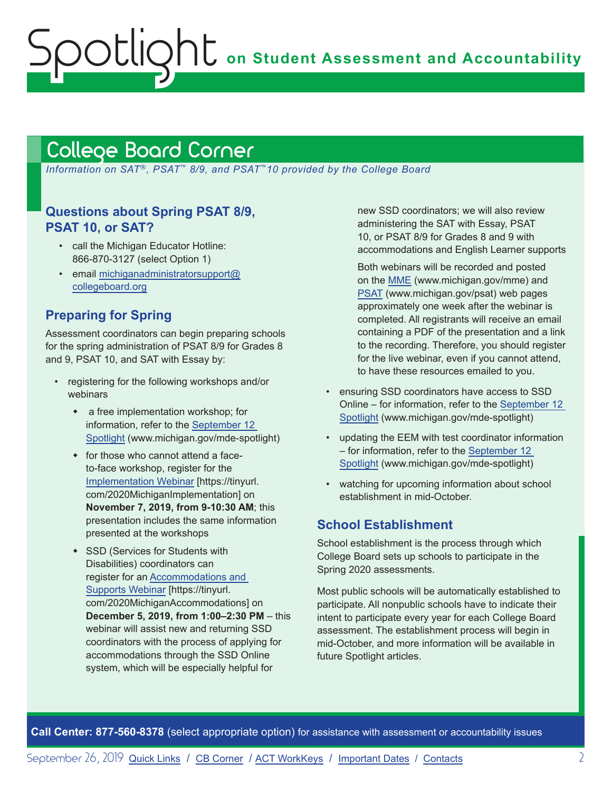## <span id="page-1-1"></span>College Board Corner

<span id="page-1-0"></span>ootlig

 *Information on SAT*®*, PSAT*™ *8/9, and PSAT*™*10 provided by the College Board*

## **Questions about Spring PSAT 8/9, PSAT 10, or SAT?**

- call the Michigan Educator Hotline: 866-870-3127 (select Option 1)
- email [michiganadministratorsupport@](mailto:michiganadministratorsupport%40collegeboard.org?subject=) [collegeboard.org](mailto:michiganadministratorsupport%40collegeboard.org?subject=)

## **Preparing for Spring**

Assessment coordinators can begin preparing schools for the spring administration of PSAT 8/9 for Grades 8 and 9, PSAT 10, and SAT with Essay by:

- registering for the following workshops and/or webinars
	- $\bullet$  a free implementation workshop; for information, refer to the [September 12](https://www.michigan.gov/documents/mde/Spotlight_9-12-19_665733_7.pdf)  [Spotlight](https://www.michigan.gov/documents/mde/Spotlight_9-12-19_665733_7.pdf) (www.michigan.gov/mde-spotlight)
	- $\bullet$  for those who cannot attend a faceto-face workshop, register for the [Implementation Webinar](https://tinyurl.com/2020MichiganImplementation) [https://tinyurl. com/2020MichiganImplementation] on **November 7, 2019, from 9-10:30 AM**; this presentation includes the same information presented at the workshops
	- SSD (Services for Students with Disabilities) coordinators can register for an [Accommodations and](https://tinyurl.com/2020MichiganAccommodations)  [Supports Webinar](https://tinyurl.com/2020MichiganAccommodations) [https://tinyurl. com/2020MichiganAccommodations] on **December 5, 2019, from 1:00–2:30 PM** – this webinar will assist new and returning SSD coordinators with the process of applying for accommodations through the SSD Online system, which will be especially helpful for

new SSD coordinators; we will also review administering the SAT with Essay, PSAT 10, or PSAT 8/9 for Grades 8 and 9 with accommodations and English Learner supports

Both webinars will be recorded and posted on the [MME](www.michigan.gov/mme) (www.michigan.gov/mme) and [PSAT](http://www.michigan.gov/psat) (www.michigan.gov/psat) web pages approximately one week after the webinar is completed. All registrants will receive an email containing a PDF of the presentation and a link to the recording. Therefore, you should register for the live webinar, even if you cannot attend, to have these resources emailed to you.

- ensuring SSD coordinators have access to SSD Online – for information, refer to the [September 12](https://www.michigan.gov/documents/mde/Spotlight_9-12-19_665733_7.pdf)  [Spotlight](https://www.michigan.gov/documents/mde/Spotlight_9-12-19_665733_7.pdf) (www.michigan.gov/mde-spotlight)
- updating the EEM with test coordinator information – for information, refer to the [September 12](https://www.michigan.gov/documents/mde/Spotlight_9-12-19_665733_7.pdf)  [Spotlight](https://www.michigan.gov/documents/mde/Spotlight_9-12-19_665733_7.pdf) (www.michigan.gov/mde-spotlight)
- watching for upcoming information about school establishment in mid-October.

## **School Establishment**

School establishment is the process through which College Board sets up schools to participate in the Spring 2020 assessments.

Most public schools will be automatically established to participate. All nonpublic schools have to indicate their intent to participate every year for each College Board assessment. The establishment process will begin in mid-October, and more information will be available in future Spotlight articles.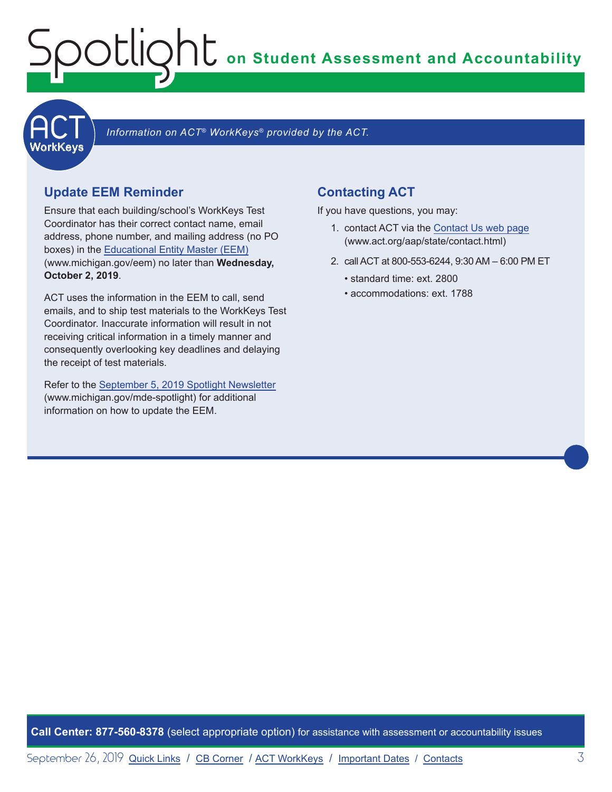**on Student Assessment and Accountability**

<span id="page-2-1"></span>

#### Information on ACT<sup>®</sup> WorkKeys<sup>®</sup> provided by the ACT.

### **Update EEM Reminder**

<span id="page-2-0"></span>Spotlight

Ensure that each building/school's WorkKeys Test Coordinator has their correct contact name, email address, phone number, and mailing address (no PO boxes) in the [Educational Entity Master \(EEM\)](www.michigan.gov/EEM) (www.michigan.gov/eem) no later than **Wednesday, October 2, 2019**.

ACT uses the information in the EEM to call, send emails, and to ship test materials to the WorkKeys Test Coordinator. Inaccurate information will result in not receiving critical information in a timely manner and consequently overlooking key deadlines and delaying the receipt of test materials.

Refer to the [September 5, 2019 Spotlight Newsletter](https://www.michigan.gov/documents/mde/Spotlight_9-5-19_665116_7.pdf) (www.michigan.gov/mde-spotlight) for additional information on how to update the EEM.

## **Contacting ACT**

If you have questions, you may:

- 1. contact ACT via the [Contact Us web page](http://www.act.org/aap/state/contact.html) ([www.act.org/aap/state/contact.html](https://www.act.org/aap/state/contact.html))
- 2. call ACT at 800-553-6244, 9:30 AM 6:00 PM ET
	- standard time: ext. 2800
	- accommodations: ext. 1788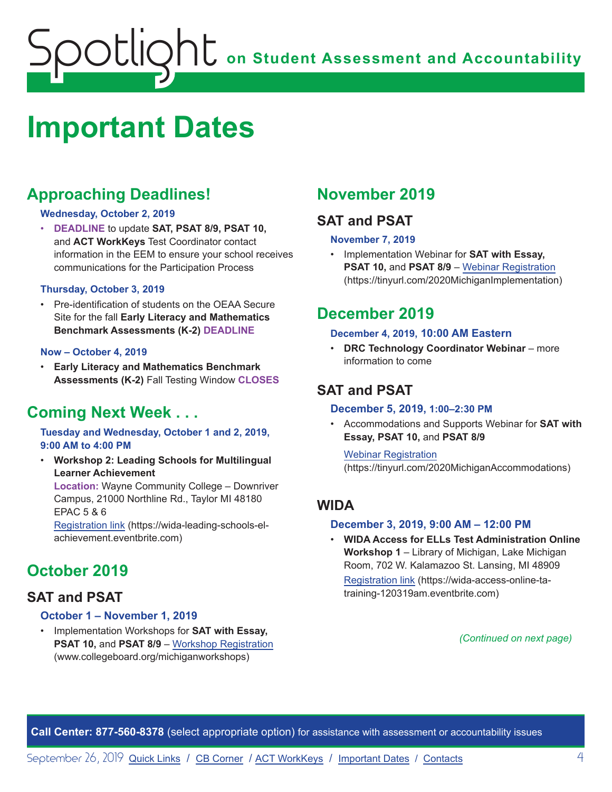# <span id="page-3-0"></span>**on Student Assessment and Accountability** Spotlight

# <span id="page-3-1"></span>**Important Dates**

## **Approaching Deadlines!**

#### **Wednesday, October 2, 2019**

• **DEADLINE** to update **SAT, PSAT 8/9, PSAT 10,** and **ACT WorkKeys** Test Coordinator contact information in the EEM to ensure your school receives communications for the Participation Process

#### **Thursday, October 3, 2019**

• Pre-identification of students on the OEAA Secure Site for the fall **Early Literacy and Mathematics Benchmark Assessments (K-2) DEADLINE**

#### **Now – October 4, 2019**

• **Early Literacy and Mathematics Benchmark Assessments (K-2)** Fall Testing Window **CLOSES**

## **Coming Next Week . . .**

#### **Tuesday and Wednesday, October 1 and 2, 2019, 9:00 AM to 4:00 PM**

• **Workshop 2: Leading Schools for Multilingual Learner Achievement** 

**Location:** Wayne Community College – Downriver Campus, 21000 Northline Rd., Taylor MI 48180 EPAC 5 & 6

[Registration link](https://wida-leading-schools-el-achievement.eventbrite.com) (https://wida-leading-schools-elachievement.eventbrite.com)

## **October 2019**

## **SAT and PSAT**

### **October 1 – November 1, 2019**

• Implementation Workshops for **SAT with Essay, PSAT 10, and PSAT 8/9 – [Workshop Registration](http://www.collegeboard.org/michiganworkshops)** (www.collegeboard.org/michiganworkshops)

## **November 2019**

## **SAT and PSAT**

#### **November 7, 2019**

• Implementation Webinar for **SAT with Essay, PSAT 10,** and **PSAT 8/9** – [Webinar Registration](https://tinyurl.com/2020MichiganImplementation) (https://tinyurl.com/2020MichiganImplementation)

## **December 2019**

#### **December 4, 2019, 10:00 AM Eastern**

• **DRC Technology Coordinator Webinar** – more information to come

## **SAT and PSAT**

### **December 5, 2019, 1:00–2:30 PM**

• Accommodations and Supports Webinar for **SAT with Essay, PSAT 10,** and **PSAT 8/9**

Webinar [Registration](https://tinyurl.com/2020MichiganAccommodations)

(https://tinyurl.com/2020MichiganAccommodations)

## **WIDA**

### **December 3, 2019, 9:00 AM – 12:00 PM**

• **WIDA Access for ELLs Test Administration Online Workshop 1** – Library of Michigan, Lake Michigan Room, 702 W. Kalamazoo St. Lansing, MI 48909 [Registration link](https://wida-access-online-ta-training-120319am.eventbrite.com) (https://wida-access-online-tatraining-120319am.eventbrite.com)

*(Continued on next page)*

**Call Center: 877-560-8378** (select appropriate option) for assistance with assessment or accountability issues

September 26, 2019 [Quick Links](#page-0-0) / [CB Corner](#page-1-1) / [ACT WorkKeys](#page-2-1) / [Important Dates](#page-3-1) / [Contacts](#page-5-1) 4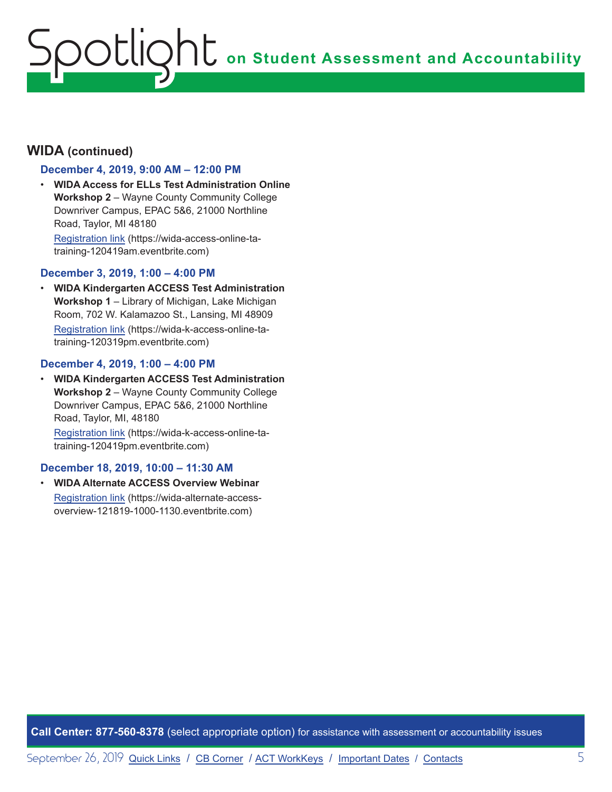# **on Student Assessment and Accountability** Spotlight

## **WIDA (continued)**

### **December 4, 2019, 9:00 AM – 12:00 PM**

• **WIDA Access for ELLs Test Administration Online Workshop 2** – Wayne County Community College Downriver Campus, EPAC 5&6, 21000 Northline Road, Taylor, MI 48180 [Registration link](https://wida-access-online-ta-training-120419am.eventbrite.com) (https://wida-access-online-ta-

training-120419am.eventbrite.com)

#### **December 3, 2019, 1:00 – 4:00 PM**

• **WIDA Kindergarten ACCESS Test Administration Workshop 1** – Library of Michigan, Lake Michigan Room, 702 W. Kalamazoo St., Lansing, MI 48909 [Registration link](https://wida-k-access-online-ta-training-120319pm.eventbrite.com) (https://wida-k-access-online-tatraining-120319pm.eventbrite.com)

#### **December 4, 2019, 1:00 – 4:00 PM**

• **WIDA Kindergarten ACCESS Test Administration Workshop 2** – Wayne County Community College Downriver Campus, EPAC 5&6, 21000 Northline Road, Taylor, MI, 48180 [Registration link](https://wida-k-access-online-ta-training-120419pm.eventbrite.com) (https://wida-k-access-online-tatraining-120419pm.eventbrite.com)

### **December 18, 2019, 10:00 – 11:30 AM**

• **WIDA Alternate ACCESS Overview Webinar** [Registration link](https://wida-alternate-access-overview-121819-1000-1130.eventbrite.com) (https://wida-alternate-accessoverview-121819-1000-1130.eventbrite.com)